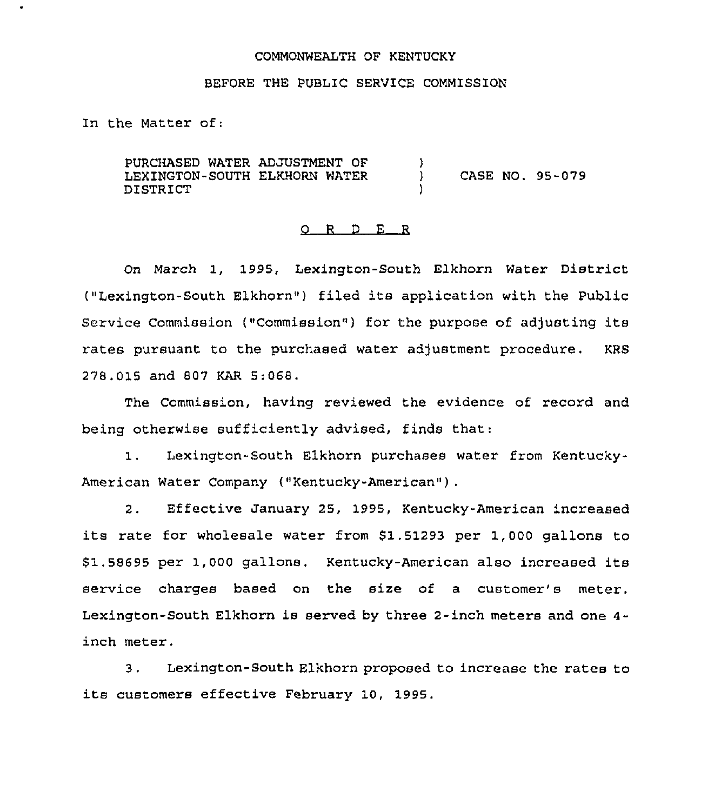### COMMONWEALTH OF KENTUCKy

### BEFORE THE PUBLIC SERVICE COMMISSION

In the Matter of:

PURCHASED WATER ADJUSTMENT OF LEXINGTON-SOUTH ELKHORN WATER DISTRICT )<br>) ) CASE NO. 95-079

#### 0 <sup>R</sup> <sup>D</sup> E <sup>R</sup>

On March 1, 1995, Lexington-South Elkhorn Water District ("Lexington-South Elkhorn") filed its application with the Public Service Commission ("Commission") for the purpose of adjusting its rates pursuant to the purchased water adjustment procedure. KRS 278,015 and 807 KAR 5:068.

The Commission, having reviewed the evidence of record and being otherwise sufficiently advised, finds that.

 $1.$ Lexington-South Elkhorn purchases water from Kentucky-American Water Company ("Kentucky-American").

2. Effective January 25, 1995, Kentucky-American increased its rate for wholesale water from \$1.51293 per 1,000 gallons to \$1.58695 per 1,000 gallons. Kentucky-American also increased its service charges based on the size of a customer's meter. Lexington-South Elkhorn is served by three 2-inch meters and one 4 inch meter.

3. Lexington-South Elkhorn proposed to increase the rates to its customers effective February 10, 1995.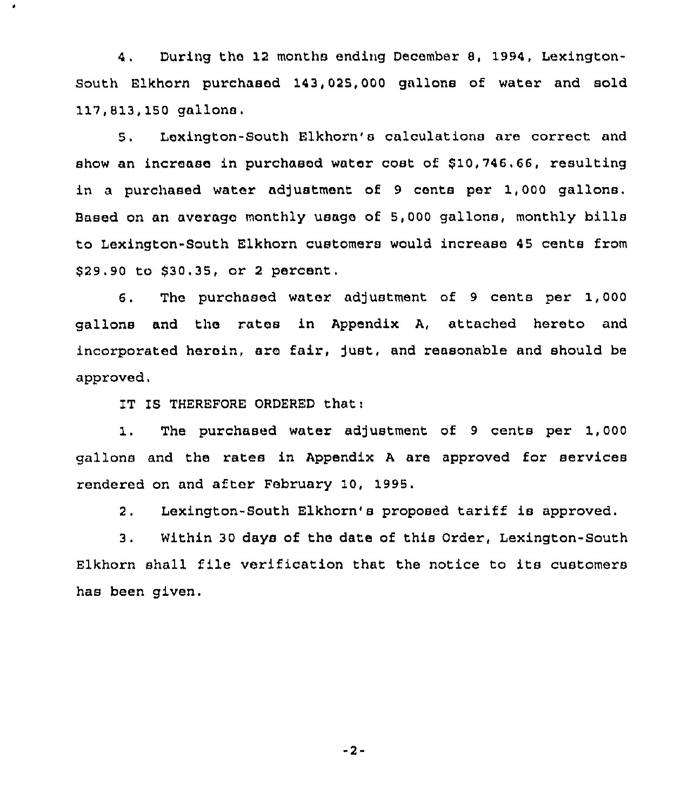4. During the 12 months ending December 8, 1994, Lexington-South Elkhorn purchased 143,025,000 gallons of water and sold 117,813,150 gallons.

5. Lexington-South Elkhorn's calculations are correct and show an increase in purchased water cost of 810,746.66, resulting in a purchased water adjustment of 9 cents per 1,000 gallons. Based on an average monthly usage of 5,000 gallons, monthly bills to Lexington-South Elkhorn customers would increase 45 cents from 829.90 to \$30.35, or <sup>2</sup> percent.

6. The purchased water adjustment of 9 cents per 1,000 gallons and the rates in Appendix A, attached hereto and incorporated herein, are fair, Just, and reasonable and should be approved.

IT IS THEREFORE ORDERED that:

 $\bullet$ 

1. The purchased water adjustment of 9 cents per 1,000 gallons and the rates in Appendix <sup>A</sup> are approved for services rendered on and after February 10, 1995.

2. Lexington-South Elkhorn's proposed tariff is approved.

3. Within 30 days of the date of this Order, Lexington-South Elkhorn shall file verification that the notice to its customers has been given.

 $-2-$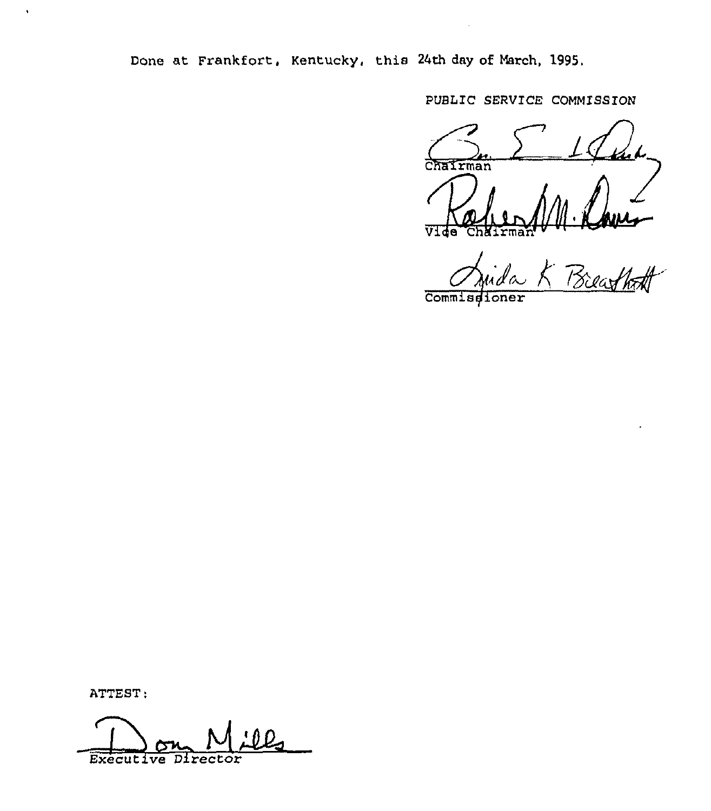Done at Frankfort, Kentucky, this 24th day of March, 1995.

PUBLIC SERVICE COMMISSION

Chairman V.

Breathoff

Commissioner

ATTEST:

 $\hat{\textbf{r}}$ 

Executive Director